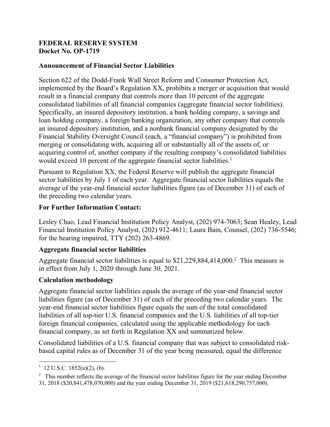### **FEDERAL RESERVE SYSTEM Docket No. OP-1719**

# **Announcement of Financial Sector Liabilities**

Section 622 of the Dodd-Frank Wall Street Reform and Consumer Protection Act, implemented by the Board's Regulation XX, prohibits a merger or acquisition that would result in a financial company that controls more than 10 percent of the aggregate consolidated liabilities of all financial companies (aggregate financial sector liabilities). Specifically, an insured depository institution, a bank holding company, a savings and loan holding company, a foreign banking organization, any other company that controls an insured depository institution, and a nonbank financial company designated by the Financial Stability Oversight Council (each, a "financial company") is prohibited from merging or consolidating with, acquiring all or substantially all of the assets of, or acquiring control of, another company if the resulting company's consolidated liabilities would exceed 10 percent of the aggregate financial sector liabilities. 1

Pursuant to Regulation XX, the Federal Reserve will publish the aggregate financial sector liabilities by July 1 of each year. Aggregate financial sector liabilities equals the average of the year-end financial sector liabilities figure (as of December 31) of each of the preceding two calendar years.

### **For Further Information Contact:**

Lesley Chao, Lead Financial Institution Policy Analyst, (202) 974-7063; Sean Healey, Lead Financial Institution Policy Analyst, (202) 912-4611; Laura Bain, Counsel, (202) 736-5546; for the hearing impaired, TTY (202) 263-4869.

# **Aggregate financial sector liabilities**

Aggregate financial sector liabilities is equal to \$21,229,884,414,000. 2 This measure is in effect from July 1, 2020 through June 30, 2021.

#### **Calculation methodology**

Aggregate financial sector liabilities equals the average of the year-end financial sector liabilities figure (as of December 31) of each of the preceding two calendar years. The year-end financial sector liabilities figure equals the sum of the total consolidated liabilities of all top-tier U.S. financial companies and the U.S. liabilities of all top-tier foreign financial companies, calculated using the applicable methodology for each financial company, as set forth in Regulation XX and summarized below.

Consolidated liabilities of a U.S. financial company that was subject to consolidated riskbased capital rules as of December 31 of the year being measured, equal the difference

 $\frac{1}{1}$  $1$  12 U.S.C. 1852(a)(2), (b).

 $2$  This number reflects the average of the financial sector liabilities figure for the year ending December 31, 2018 (\$20,841,478,070,000) and the year ending December 31, 2019 (\$21,618,290,757,000).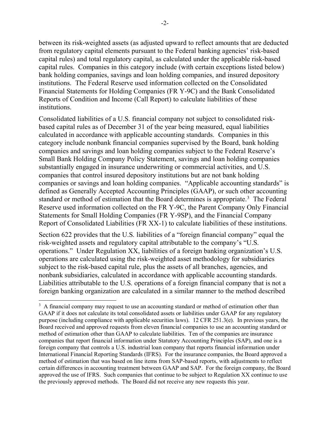between its risk-weighted assets (as adjusted upward to reflect amounts that are deducted from regulatory capital elements pursuant to the Federal banking agencies' risk-based capital rules) and total regulatory capital, as calculated under the applicable risk-based capital rules. Companies in this category include (with certain exceptions listed below) bank holding companies, savings and loan holding companies, and insured depository institutions. The Federal Reserve used information collected on the Consolidated Financial Statements for Holding Companies (FR Y-9C) and the Bank Consolidated Reports of Condition and Income (Call Report) to calculate liabilities of these institutions.

Consolidated liabilities of a U.S. financial company not subject to consolidated riskbased capital rules as of December 31 of the year being measured, equal liabilities calculated in accordance with applicable accounting standards. Companies in this category include nonbank financial companies supervised by the Board, bank holding companies and savings and loan holding companies subject to the Federal Reserve's Small Bank Holding Company Policy Statement, savings and loan holding companies substantially engaged in insurance underwriting or commercial activities, and U.S. companies that control insured depository institutions but are not bank holding companies or savings and loan holding companies. "Applicable accounting standards" is defined as Generally Accepted Accounting Principles (GAAP), or such other accounting standard or method of estimation that the Board determines is appropriate.<sup>3</sup> The Federal Reserve used information collected on the FR Y-9C, the Parent Company Only Financial Statements for Small Holding Companies (FR Y-9SP), and the Financial Company Report of Consolidated Liabilities (FR XX-1) to calculate liabilities of these institutions.

Section 622 provides that the U.S. liabilities of a "foreign financial company" equal the risk-weighted assets and regulatory capital attributable to the company's "U.S. operations." Under Regulation XX, liabilities of a foreign banking organization's U.S. operations are calculated using the risk-weighted asset methodology for subsidiaries subject to the risk-based capital rule, plus the assets of all branches, agencies, and nonbank subsidiaries, calculated in accordance with applicable accounting standards. Liabilities attributable to the U.S. operations of a foreign financial company that is not a foreign banking organization are calculated in a similar manner to the method described

 <sup>3</sup>  $3\,$  A financial company may request to use an accounting standard or method of estimation other than GAAP if it does not calculate its total consolidated assets or liabilities under GAAP for any regulatory purpose (including compliance with applicable securities laws). 12 CFR 251.3(e). In previous years, the Board received and approved requests from eleven financial companies to use an accounting standard or method of estimation other than GAAP to calculate liabilities. Ten of the companies are insurance companies that report financial information under Statutory Accounting Principles (SAP), and one is a foreign company that controls a U.S. industrial loan company that reports financial information under International Financial Reporting Standards (IFRS). For the insurance companies, the Board approved a method of estimation that was based on line items from SAP-based reports, with adjustments to reflect certain differences in accounting treatment between GAAP and SAP. For the foreign company, the Board approved the use of IFRS. Such companies that continue to be subject to Regulation XX continue to use the previously approved methods. The Board did not receive any new requests this year.